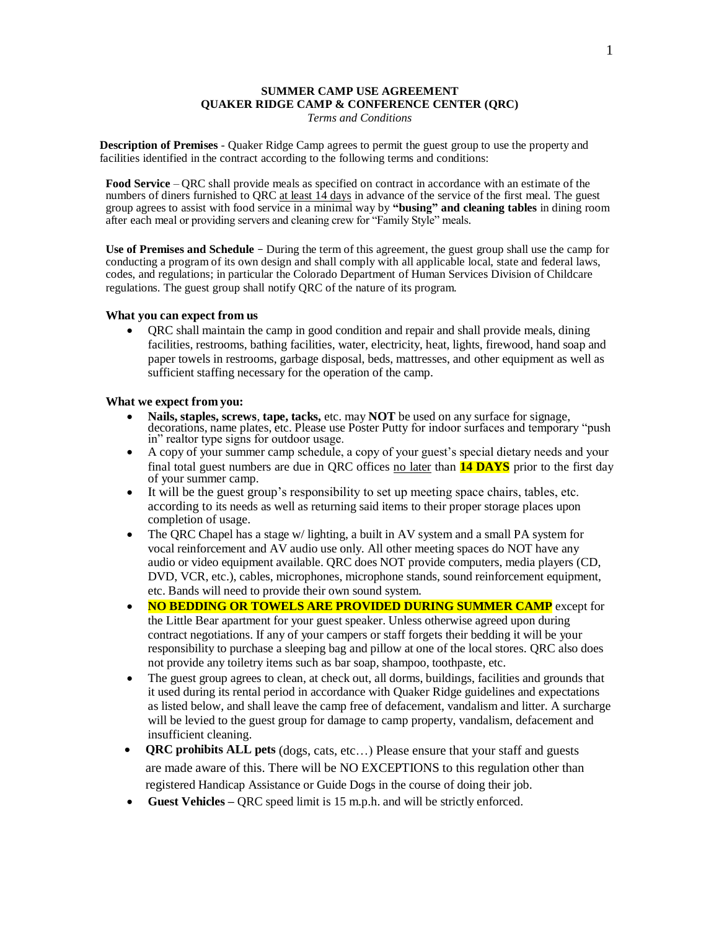## **SUMMER CAMP USE AGREEMENT QUAKER RIDGE CAMP & CONFERENCE CENTER (QRC)**

*Terms and Conditions*

**Description of Premises** - Quaker Ridge Camp agrees to permit the guest group to use the property and facilities identified in the contract according to the following terms and conditions:

**Food Service** – QRC shall provide meals as specified on contract in accordance with an estimate of the numbers of diners furnished to QRC at least 14 days in advance of the service of the first meal. The guest group agrees to assist with food service in a minimal way by **"busing" and cleaning tables** in dining room after each meal or providing servers and cleaning crew for "Family Style" meals.

**Use of Premises and Schedule** – During the term of this agreement, the guest group shall use the camp for conducting a program of its own design and shall comply with all applicable local, state and federal laws, codes, and regulations; in particular the Colorado Department of Human Services Division of Childcare regulations. The guest group shall notify QRC of the nature of its program.

## **What you can expect from us**

 QRC shall maintain the camp in good condition and repair and shall provide meals, dining facilities, restrooms, bathing facilities, water, electricity, heat, lights, firewood, hand soap and paper towels in restrooms, garbage disposal, beds, mattresses, and other equipment as well as sufficient staffing necessary for the operation of the camp.

## **What we expect from you:**

- **Nails, staples, screws**, **tape, tacks,** etc. may **NOT** be used on any surface for signage, decorations, name plates, etc. Please use Poster Putty for indoor surfaces and temporary "push in" realtor type signs for outdoor usage.
- A copy of your summer camp schedule, a copy of your guest's special dietary needs and your final total guest numbers are due in QRC offices no later than **14 DAYS** prior to the first day of your summer camp.
- It will be the guest group's responsibility to set up meeting space chairs, tables, etc. according to its needs as well as returning said items to their proper storage places upon completion of usage.
- The QRC Chapel has a stage w/ lighting, a built in AV system and a small PA system for vocal reinforcement and AV audio use only. All other meeting spaces do NOT have any audio or video equipment available. QRC does NOT provide computers, media players (CD, DVD, VCR, etc.), cables, microphones, microphone stands, sound reinforcement equipment, etc. Bands will need to provide their own sound system.
- **NO BEDDING OR TOWELS ARE PROVIDED DURING SUMMER CAMP** except for the Little Bear apartment for your guest speaker. Unless otherwise agreed upon during contract negotiations. If any of your campers or staff forgets their bedding it will be your responsibility to purchase a sleeping bag and pillow at one of the local stores. QRC also does not provide any toiletry items such as bar soap, shampoo, toothpaste, etc.
- The guest group agrees to clean, at check out, all dorms, buildings, facilities and grounds that it used during its rental period in accordance with Quaker Ridge guidelines and expectations as listed below, and shall leave the camp free of defacement, vandalism and litter. A surcharge will be levied to the guest group for damage to camp property, vandalism, defacement and insufficient cleaning.
- **QRC prohibits ALL pets** (dogs, cats, etc…) Please ensure that your staff and guests are made aware of this. There will be NO EXCEPTIONS to this regulation other than registered Handicap Assistance or Guide Dogs in the course of doing their job.
- **Guest Vehicles –** QRC speed limit is 15 m.p.h. and will be strictly enforced.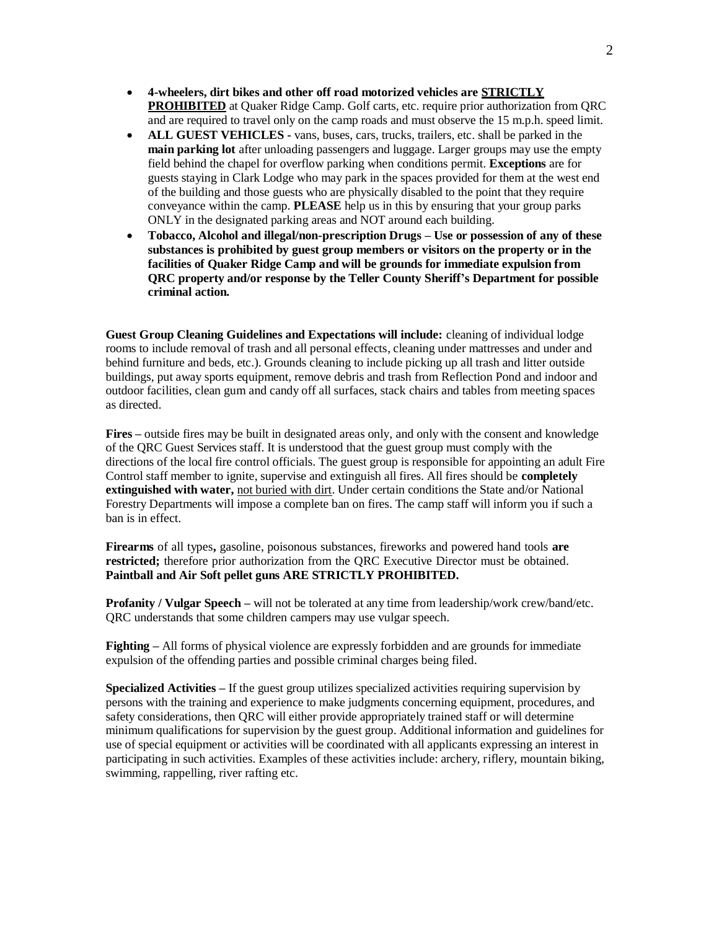- **4-wheelers, dirt bikes and other off road motorized vehicles are STRICTLY PROHIBITED** at Quaker Ridge Camp. Golf carts, etc. require prior authorization from QRC and are required to travel only on the camp roads and must observe the 15 m.p.h. speed limit.
- **ALL GUEST VEHICLES -** vans, buses, cars, trucks, trailers, etc. shall be parked in the **main parking lot** after unloading passengers and luggage. Larger groups may use the empty field behind the chapel for overflow parking when conditions permit. **Exceptions** are for guests staying in Clark Lodge who may park in the spaces provided for them at the west end of the building and those guests who are physically disabled to the point that they require conveyance within the camp. **PLEASE** help us in this by ensuring that your group parks ONLY in the designated parking areas and NOT around each building.
- **Tobacco, Alcohol and illegal/non-prescription Drugs – Use or possession of any of these substances is prohibited by guest group members or visitors on the property or in the facilities of Quaker Ridge Camp and will be grounds for immediate expulsion from QRC property and/or response by the Teller County Sheriff's Department for possible criminal action.**

**Guest Group Cleaning Guidelines and Expectations will include:** cleaning of individual lodge rooms to include removal of trash and all personal effects, cleaning under mattresses and under and behind furniture and beds, etc.). Grounds cleaning to include picking up all trash and litter outside buildings, put away sports equipment, remove debris and trash from Reflection Pond and indoor and outdoor facilities, clean gum and candy off all surfaces, stack chairs and tables from meeting spaces as directed.

**Fires –** outside fires may be built in designated areas only, and only with the consent and knowledge of the QRC Guest Services staff. It is understood that the guest group must comply with the directions of the local fire control officials. The guest group is responsible for appointing an adult Fire Control staff member to ignite, supervise and extinguish all fires. All fires should be **completely extinguished with water,** not buried with dirt. Under certain conditions the State and/or National Forestry Departments will impose a complete ban on fires. The camp staff will inform you if such a ban is in effect.

**Firearms** of all types**,** gasoline, poisonous substances, fireworks and powered hand tools **are restricted;** therefore prior authorization from the QRC Executive Director must be obtained. **Paintball and Air Soft pellet guns ARE STRICTLY PROHIBITED.**

**Profanity / Vulgar Speech –** will not be tolerated at any time from leadership/work crew/band/etc. QRC understands that some children campers may use vulgar speech.

**Fighting –** All forms of physical violence are expressly forbidden and are grounds for immediate expulsion of the offending parties and possible criminal charges being filed.

**Specialized Activities –** If the guest group utilizes specialized activities requiring supervision by persons with the training and experience to make judgments concerning equipment, procedures, and safety considerations, then QRC will either provide appropriately trained staff or will determine minimum qualifications for supervision by the guest group. Additional information and guidelines for use of special equipment or activities will be coordinated with all applicants expressing an interest in participating in such activities. Examples of these activities include: archery, riflery, mountain biking, swimming, rappelling, river rafting etc.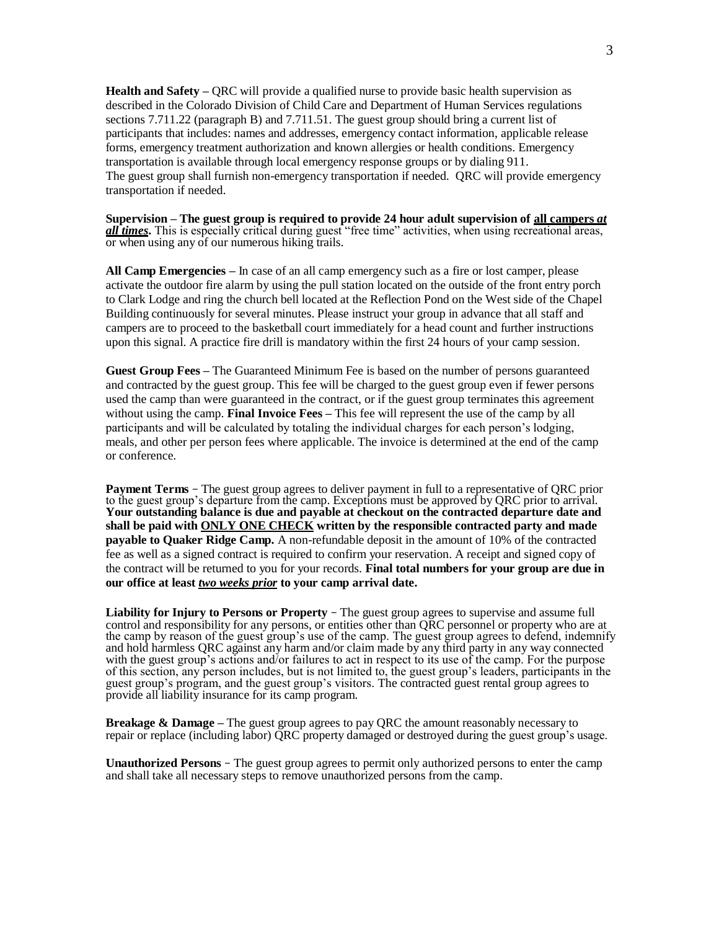**Health and Safety –** QRC will provide a qualified nurse to provide basic health supervision as described in the Colorado Division of Child Care and Department of Human Services regulations sections 7.711.22 (paragraph B) and 7.711.51. The guest group should bring a current list of participants that includes: names and addresses, emergency contact information, applicable release forms, emergency treatment authorization and known allergies or health conditions. Emergency transportation is available through local emergency response groups or by dialing 911. The guest group shall furnish non-emergency transportation if needed. QRC will provide emergency transportation if needed.

**Supervision – The guest group is required to provide 24 hour adult supervision of all campers** *at all times***.** This is especially critical during guest "free time" activities, when using recreational areas, or when using any of our numerous hiking trails.

**All Camp Emergencies –** In case of an all camp emergency such as a fire or lost camper, please activate the outdoor fire alarm by using the pull station located on the outside of the front entry porch to Clark Lodge and ring the church bell located at the Reflection Pond on the West side of the Chapel Building continuously for several minutes. Please instruct your group in advance that all staff and campers are to proceed to the basketball court immediately for a head count and further instructions upon this signal. A practice fire drill is mandatory within the first 24 hours of your camp session.

**Guest Group Fees –** The Guaranteed Minimum Fee is based on the number of persons guaranteed and contracted by the guest group. This fee will be charged to the guest group even if fewer persons used the camp than were guaranteed in the contract, or if the guest group terminates this agreement without using the camp. **Final Invoice Fees –** This fee will represent the use of the camp by all participants and will be calculated by totaling the individual charges for each person's lodging, meals, and other per person fees where applicable. The invoice is determined at the end of the camp or conference.

**Payment Terms** – The guest group agrees to deliver payment in full to a representative of QRC prior to the guest group's departure from the camp. Exceptions must be approved by QRC prior to arrival. **Your outstanding balance is due and payable at checkout on the contracted departure date and shall be paid with ONLY ONE CHECK written by the responsible contracted party and made payable to Quaker Ridge Camp.** A non-refundable deposit in the amount of 10% of the contracted fee as well as a signed contract is required to confirm your reservation. A receipt and signed copy of the contract will be returned to you for your records. **Final total numbers for your group are due in our office at least** *two weeks prior* **to your camp arrival date.**

**Liability for Injury to Persons or Property** – The guest group agrees to supervise and assume full control and responsibility for any persons, or entities other than QRC personnel or property who are at the camp by reason of the guest group's use of the camp. The guest group agrees to defend, indemnify and hold harmless QRC against any harm and/or claim made by any third party in any way connected with the guest group's actions and/or failures to act in respect to its use of the camp. For the purpose of this section, any person includes, but is not limited to, the guest group's leaders, participants in the guest group's program, and the guest group's visitors. The contracted guest rental group agrees to provide all liability insurance for its camp program.

**Breakage & Damage –** The guest group agrees to pay QRC the amount reasonably necessary to repair or replace (including labor) QRC property damaged or destroyed during the guest group's usage.

**Unauthorized Persons** – The guest group agrees to permit only authorized persons to enter the camp and shall take all necessary steps to remove unauthorized persons from the camp.